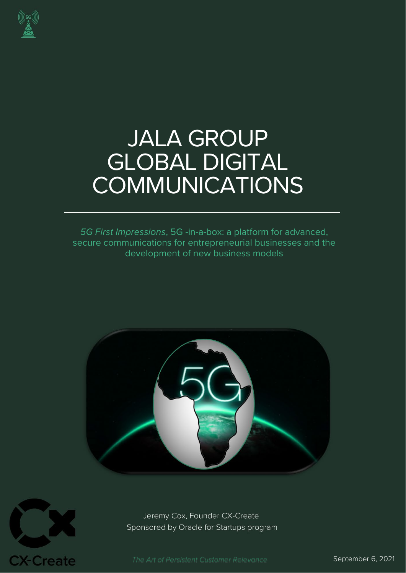

# JALA GROUP GLOBAL DIGITAL COMMUNICATIONS

*5G First Impressions*, 5G -in-a-box: a platform for advanced, secure communications for entrepreneurial businesses and the development of new business models





Jeremy Cox, Founder CX-Create Sponsored by Oracle for Startups program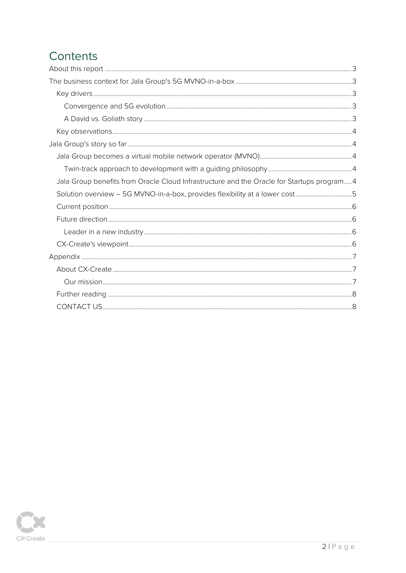# Contents

| Jala Group benefits from Oracle Cloud Infrastructure and the Oracle for Startups program4 |  |
|-------------------------------------------------------------------------------------------|--|
| Solution overview - 5G MVNO-in-a-box, provides flexibility at a lower cost 5              |  |
|                                                                                           |  |
|                                                                                           |  |
|                                                                                           |  |
|                                                                                           |  |
|                                                                                           |  |
|                                                                                           |  |
|                                                                                           |  |
|                                                                                           |  |
|                                                                                           |  |

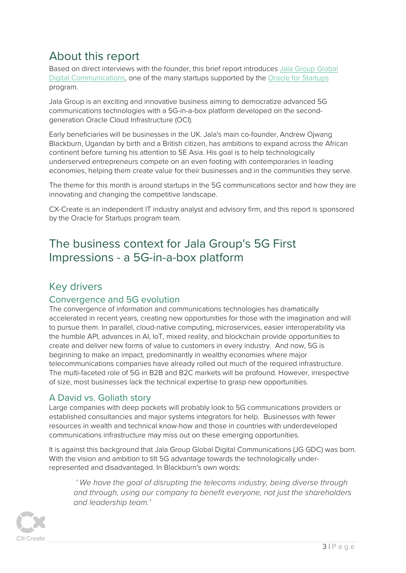## <span id="page-2-0"></span>About this report

Based on direct interviews with the founder, this brief report introduces [Jala Group Global](https://www.jalagroup.io/)  [Digital Communications,](https://www.jalagroup.io/) one of the many startups supported by the [Oracle for](http://www.oracle.com/startup) Startups program.

Jala Group is an exciting and innovative business aiming to democratize advanced 5G communications technologies with a 5G-in-a-box platform developed on the secondgeneration Oracle Cloud Infrastructure (OCI).

Early beneficiaries will be businesses in the UK. Jala's main co-founder, Andrew Ojwang Blackburn, Ugandan by birth and a British citizen, has ambitions to expand across the African continent before turning his attention to SE Asia. His goal is to help technologically underserved entrepreneurs compete on an even footing with contemporaries in leading economies, helping them create value for their businesses and in the communities they serve.

The theme for this month is around startups in the 5G communications sector and how they are innovating and changing the competitive landscape.

CX-Create is an independent IT industry analyst and advisory firm, and this report is sponsored by the Oracle for Startups program team.

## <span id="page-2-1"></span>The business context for Jala Group's 5G First Impressions - a 5G-in-a-box platform

#### <span id="page-2-2"></span>Key drivers

#### <span id="page-2-3"></span>Convergence and 5G evolution

The convergence of information and communications technologies has dramatically accelerated in recent years, creating new opportunities for those with the imagination and will to pursue them. In parallel, cloud-native computing, microservices, easier interoperability via the humble API, advances in AI, IoT, mixed reality, and blockchain provide opportunities to create and deliver new forms of value to customers in every industry. And now, 5G is beginning to make an impact, predominantly in wealthy economies where major telecommunications companies have already rolled out much of the required infrastructure. The multi-faceted role of 5G in B2B and B2C markets will be profound. However, irrespective of size, most businesses lack the technical expertise to grasp new opportunities.

#### <span id="page-2-4"></span>A David vs. Goliath story

Large companies with deep pockets will probably look to 5G communications providers or established consultancies and major systems integrators for help. Businesses with fewer resources in wealth and technical know-how and those in countries with underdeveloped communications infrastructure may miss out on these emerging opportunities.

It is against this background that Jala Group Global Digital Communications (JG GDC) was born. With the vision and ambition to tilt 5G advantage towards the technologically underrepresented and disadvantaged. In Blackburn's own words:

' We have the goal of disrupting the telecoms industry, being diverse through *and through, using our company to benefit everyone, not just the shareholders and leadership team.'*

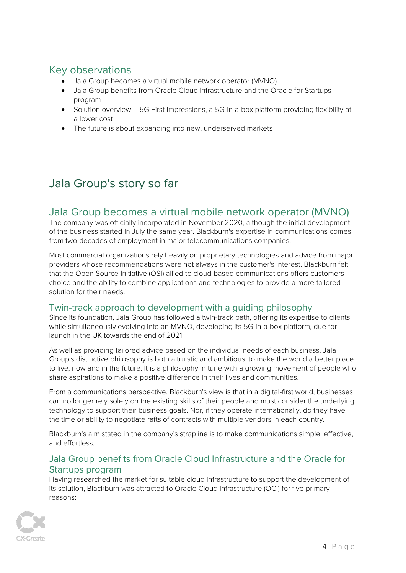### <span id="page-3-0"></span>Key observations

- Jala Group becomes a virtual mobile network operator (MVNO)
- Jala Group benefits from Oracle Cloud Infrastructure and the Oracle for Startups program
- Solution overview 5G First Impressions, a 5G-in-a-box platform providing flexibility at a lower cost
- The future is about expanding into new, underserved markets

# <span id="page-3-1"></span>Jala Group's story so far

#### <span id="page-3-2"></span>Jala Group becomes a virtual mobile network operator (MVNO)

The company was officially incorporated in November 2020, although the initial development of the business started in July the same year. Blackburn's expertise in communications comes from two decades of employment in major telecommunications companies.

Most commercial organizations rely heavily on proprietary technologies and advice from major providers whose recommendations were not always in the customer's interest. Blackburn felt that the Open Source Initiative (OSI) allied to cloud-based communications offers customers choice and the ability to combine applications and technologies to provide a more tailored solution for their needs.

#### <span id="page-3-3"></span>Twin-track approach to development with a guiding philosophy

Since its foundation, Jala Group has followed a twin-track path, offering its expertise to clients while simultaneously evolving into an MVNO, developing its 5G-in-a-box platform, due for launch in the UK towards the end of 2021.

As well as providing tailored advice based on the individual needs of each business, Jala Group's distinctive philosophy is both altruistic and ambitious: to make the world a better place to live, now and in the future. It is a philosophy in tune with a growing movement of people who share aspirations to make a positive difference in their lives and communities.

From a communications perspective, Blackburn's view is that in a digital-first world, businesses can no longer rely solely on the existing skills of their people and must consider the underlying technology to support their business goals. Nor, if they operate internationally, do they have the time or ability to negotiate rafts of contracts with multiple vendors in each country.

Blackburn's aim stated in the company's strapline is to make communications simple, effective, and effortless.

#### <span id="page-3-4"></span>Jala Group benefits from Oracle Cloud Infrastructure and the Oracle for Startups program

Having researched the market for suitable cloud infrastructure to support the development of its solution, Blackburn was attracted to Oracle Cloud Infrastructure (OCI) for five primary reasons:

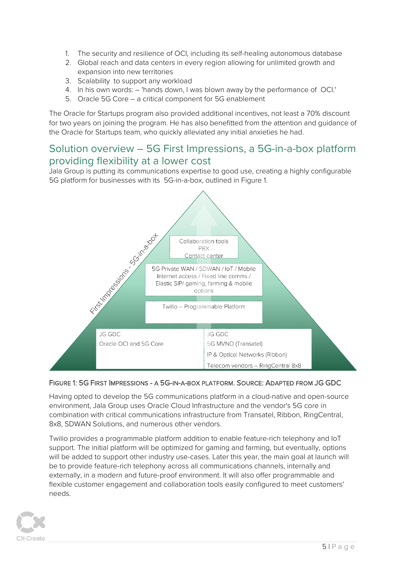- 1. The security and resilience of OCI, including its self-healing autonomous database
- 2. Global reach and data centers in every region allowing for unlimited growth and expansion into new territories
- 3. Scalability to support any workload
- 4. In his own words: 'hands down, I was blown away by the performance of OCI.'
- 5. Oracle 5G Core a critical component for 5G enablement

The Oracle for Startups program also provided additional incentives, not least a 70% discount for two years on joining the program. He has also benefitted from the attention and guidance of the Oracle for Startups team, who quickly alleviated any initial anxieties he had.

#### <span id="page-4-0"></span>Solution overview – 5G First Impressions, a 5G-in-a-box platform providing flexibility at a lower cost

Jala Group is putting its communications expertise to good use, creating a highly configurable 5G platform for businesses with its 5G-in-a-box, outlined in Figure 1.



#### FIGURE 1: 5G FIRST IMPRESSIONS - A 5G-IN-A-BOX PLATFORM. SOURCE: ADAPTED FROM JG GDC

Having opted to develop the 5G communications platform in a cloud-native and open-source environment, Jala Group uses Oracle Cloud Infrastructure and the vendor's 5G core in combination with critical communications infrastructure from Transatel, Ribbon, RingCentral, 8x8, SDWAN Solutions, and numerous other vendors.

Twilio provides a programmable platform addition to enable feature-rich telephony and IoT support. The initial platform will be optimized for gaming and farming, but eventually, options will be added to support other industry use-cases. Later this year, the main goal at launch will be to provide feature-rich telephony across all communications channels, internally and externally, in a modern and future-proof environment. It will also offer programmable and flexible customer engagement and collaboration tools easily configured to meet customers' needs.

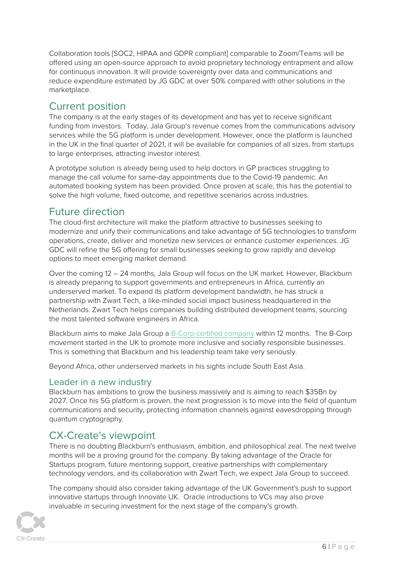Collaboration tools [SOC2, HIPAA and GDPR compliant] comparable to Zoom/Teams will be offered using an open-source approach to avoid proprietary technology entrapment and allow for continuous innovation. It will provide sovereignty over data and communications and reduce expenditure estimated by JG GDC at over 50% compared with other solutions in the marketplace.

#### <span id="page-5-0"></span>Current position

The company is at the early stages of its development and has yet to receive significant funding from investors. Today, Jala Group's revenue comes from the communications advisory services while the 5G platform is under development. However, once the platform is launched in the UK in the final quarter of 2021, it will be available for companies of all sizes, from startups to large enterprises, attracting investor interest.

A prototype solution is already being used to help doctors in GP practices struggling to manage the call volume for same-day appointments due to the Covid-19 pandemic. An automated booking system has been provided. Once proven at scale, this has the potential to solve the high volume, fixed outcome, and repetitive scenarios across industries.

#### <span id="page-5-1"></span>Future direction

The cloud-first architecture will make the platform attractive to businesses seeking to modernize and unify their communications and take advantage of 5G technologies to transform operations, create, deliver and monetize new services or enhance customer experiences. JG GDC will refine the 5G offering for small businesses seeking to grow rapidly and develop options to meet emerging market demand.

Over the coming 12 – 24 months, Jala Group will focus on the UK market. However, Blackburn is already preparing to support governments and entrepreneurs in Africa, currently an underserved market. To expand its platform development bandwidth, he has struck a partnership with Zwart Tech, a like-minded social impact business headquartered in the Netherlands. Zwart Tech helps companies building distributed development teams, sourcing the most talented software engineers in Africa.

Blackburn aims to make Jala Group a [B-Corp-certified](https://bcorporation.uk/about-b-corps) company within 12 months. The B-Corp movement started in the UK to promote more inclusive and socially responsible businesses. This is something that Blackburn and his leadership team take very seriously.

Beyond Africa, other underserved markets in his sights include South East Asia.

#### <span id="page-5-2"></span>Leader in a new industry

Blackburn has ambitions to grow the business massively and is aiming to reach \$35Bn by 2027. Once his 5G platform is proven, the next progression is to move into the field of quantum communications and security, protecting information channels against eavesdropping through quantum cryptography.

## <span id="page-5-3"></span>CX-Create's viewpoint

There is no doubting Blackburn's enthusiasm, ambition, and philosophical zeal. The next twelve months will be a proving ground for the company. By taking advantage of the Oracle for Startups program, future mentoring support, creative partnerships with complementary technology vendors, and its collaboration with Zwart Tech, we expect Jala Group to succeed.

The company should also consider taking advantage of the UK Government's push to support innovative startups through Innovate UK. Oracle introductions to VCs may also prove invaluable in securing investment for the next stage of the company's growth.

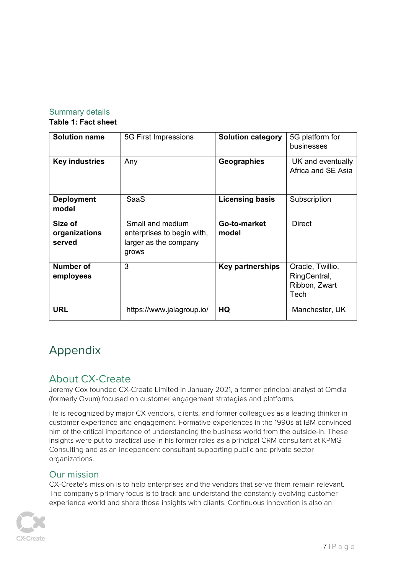#### Summary details **Table 1: Fact sheet**

| <b>Solution name</b>               | 5G First Impressions                                                             | <b>Solution category</b> | 5G platform for<br>businesses                             |
|------------------------------------|----------------------------------------------------------------------------------|--------------------------|-----------------------------------------------------------|
| <b>Key industries</b>              | Any                                                                              | Geographies              | UK and eventually<br>Africa and SE Asia                   |
| <b>Deployment</b><br>model         | <b>SaaS</b>                                                                      | <b>Licensing basis</b>   | Subscription                                              |
| Size of<br>organizations<br>served | Small and medium<br>enterprises to begin with,<br>larger as the company<br>grows | Go-to-market<br>model    | <b>Direct</b>                                             |
| Number of<br>employees             | 3                                                                                | <b>Key partnerships</b>  | Oracle, Twillio,<br>RingCentral,<br>Ribbon, Zwart<br>Tech |
| <b>URL</b>                         | https://www.jalagroup.io/                                                        | HQ                       | Manchester, UK                                            |

# <span id="page-6-0"></span>Appendix

## <span id="page-6-1"></span>About CX-Create

Jeremy Cox founded CX-Create Limited in January 2021, a former principal analyst at Omdia (formerly Ovum) focused on customer engagement strategies and platforms.

He is recognized by major CX vendors, clients, and former colleagues as a leading thinker in customer experience and engagement. Formative experiences in the 1990s at IBM convinced him of the critical importance of understanding the business world from the outside-in. These insights were put to practical use in his former roles as a principal CRM consultant at KPMG Consulting and as an independent consultant supporting public and private sector organizations.

#### <span id="page-6-2"></span>Our mission

CX-Create's mission is to help enterprises and the vendors that serve them remain relevant. The company's primary focus is to track and understand the constantly evolving customer experience world and share those insights with clients. Continuous innovation is also an